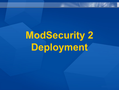# **ModSecurity 2 Deployment**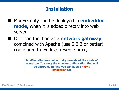#### **Installation**

- ModSecurity can be deployed in **embedded mode**, when it is added directly into web server.
- Or it can function as a **network gateway**, combined with Apache (use 2.2.2 or better) configured to work as reverse proxy.

**ModSecurity does not actually care about the mode of operation. It is only the Apache configuration that will be different. In fact, you can have a hybrid installation too.**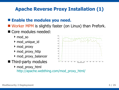#### **Apache Reverse Proxy Installation (1)**

#### **Enable the modules you need.**

- Worker MPM is slightly faster (on Linux) than Prefork.
- Core modules needed:
	- mod\_so
	- mod\_unique\_id
	- mod\_proxy
	- mod\_proxy\_http
	- ▶ mod\_proxy\_balancer
- **Third-party modules** 
	- mod\_proxy\_html [http://apache.webthing.com/mod\\_proxy\\_html/](http://apache.webthing.com/mod_proxy_html/)

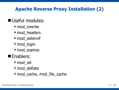## **Apache Reverse Proxy Installation (2)**

#### Useful modules:

- mod\_rewrite
- ▶ mod headers
- mod\_setenvif
- mod\_logio
- ▶ mod\_expires

#### **E** Enablers:

- ▶ mod\_ssl
- ▶ mod deflate
- ▶ mod cache, mod file cache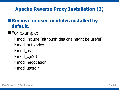#### **Apache Reverse Proxy Installation (3)**

#### **Remove unused modules installed by default.**

- **For example:** 
	- mod\_include (although this one might be useful)
	- mod\_autoindex
	- ▶ mod asis
	- $\rightarrow$  mod\_cgi(d)
	- mod\_negotiation
	- ▶ mod userdir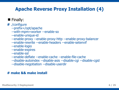#### **Apache Reverse Proxy Installation (4)**

#### **Finally:**

**#** ./configure

--prefix=/opt/apache

- --with-mpm=worker --enable-so
- --enable-unique-id
- --enable-proxy --enable-proxy-http --enable-proxy-balancer
- --enable-rewrite --enable-headers --enable-setenvif
- --enable-logio
- --enable-expires
- --enable-ssl

--enable-deflate --enable-cache --enable-file-cache

--disable-autoindex --disable-asis --disable-cgi --disable-cgid

--disable-negotiation --disable-userdir

#### **# make && make install**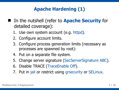## **Apache Hardening (1)**

- In the nutshell (refer to **Apache Security** for detailed coverage):
	- 1. Use own system account (e.g. httpd).
	- 2. Configure account limits.
	- 3. Configure process generation limits (necessary as processes are spawned by root):
	- 4. Put on a separate file system.
	- 5. Change server signature (SecServerSignature ABC).
	- 6. Disable TRACE (TraceEnable Off).
	- 7. Put in jail or restrict using grsecurity or SELinux.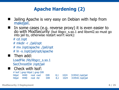## **Apache Hardening (2)**

- Jailing Apache is very easy on Debian with help from makejail.
- I In some cases (e.g. reverse proxy) it is even easier to do with ModSecurity (but libgcc\_s.so.1 and libxml2.so must go into jail to, otherwise restart won't work):
	- # cd /opt
	- # mkdir -r ./jail/opt
	- # mv /opt/apache ./jail/opt
	- # ln -s /opt/jail/opt/apache
- Then add:

LoadFile /lib/libgcc\_s.so.1 SecChrootDir /opt/jail

#### Check with lsof:

# lsof | grep httpd | grep DIR httpd 4440 root cwd DIR 8,1 1024 319542 /opt/jail httpd 4440 root rtd DIR 8,1 1024 319542 /opt/jail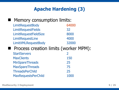## **Apache Hardening (3)**

| <b>Memory consumption limits:</b> |       |  |
|-----------------------------------|-------|--|
| LimitRequestBody                  | 64000 |  |
| <b>LimitRequestFields</b>         | 32    |  |
| LimitRequestFieldSize             | 8000  |  |
| LimitRequestLine                  | 4000  |  |
| LimitXMLRequestBody               | 32000 |  |

#### **Process creation limits (worker MPM):**

| <b>StartServers</b>        |      |
|----------------------------|------|
| <b>MaxClients</b>          | 150  |
| <b>MinSpareThreads</b>     | 25   |
| <b>MaxSpareThreads</b>     | 75   |
| <b>ThreadsPerChild</b>     | 25   |
| <b>MaxRequestsPerChild</b> | 1000 |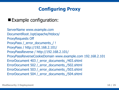## **Configuring Proxy**

#### **Example configuration:**

ServerName www.example.com DocumentRoot /opt/apache/htdocs/ ProxyRequests Off ProxyPass /\_error\_documents\_/ ! ProxyPass / http://192.168.2.101/ ProxyPassReverse / http://192.168.2.101/ ProxyPassReverseCookieDomain www.example.com 192.168.2.101 ErrorDocument 403 /\_error\_documents\_/403.shtml ErrorDocument 502 /\_error\_documents\_/502.shtml ErrorDocument 503 /\_error\_documents\_/503.shtml ErrorDocument 504 /\_error\_documents\_/504.shtml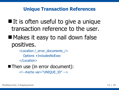#### **Unique Transaction References**

- $\blacksquare$  It is often useful to give a unique transaction reference to the user.
- **Makes it easy to nail down false** positives.

<Location /\_error\_documents\_/> Options +IncludesNoExec

</Location>

■ Then use (in error document):

<!--#echo var= "UNIQUE\_ID" -->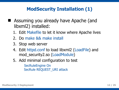#### **ModSecurity Installation (1)**

- Assuming you already have Apache (and libxml2) installed:
	- 1. Edit Makefile to let it know where Apache lives
	- 2. Do make && make install
	- 3. Stop web server
	- 4. Edit httpd.conf to load libxml2 (LoadFile) and mod\_security2.so (LoadModule)
	- 5. Add minimal configuration to test SecRuleEngine On SecRule REQUEST\_URI attack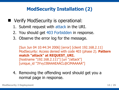#### **ModSecurity Installation (2)**

- Verify ModSecurity is operational:
	- 1. Submit request with attack in the URI.
	- 2. You should get 403 Forbidden in response.
	- 3. Observe the error log for the message.

[Sun Jun 04 10:44:34 2006] [error] [client 192.168.2.11] ModSecurity: Access denied with code 403 (phase 2). **Pattern match "attack" at REQUEST\_URI.** [hostname "192.168.2.111"] [uri "/attack"] [unique\_id "3YvyJ38AAAEAACL@CiMAAAAA"]

4. Removing the offending word should get you a normal page in response.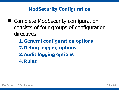#### **ModSecurity Configuration**

- Complete ModSecurity configuration consists of four groups of configuration directives:
	- **1.General configuration options 2.Debug logging options 3.Audit logging options 4.Rules**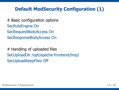#### **Default ModSecurity Configuration (1)**

# Basic configuration options SecRuleEngine On SecRequestBodyAccess On SecResponseBodyAccess On

# Handling of uploaded files SecUploadDir /opt/apache-frontend/tmp/ SecUploadKeepFiles Off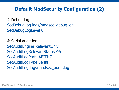#### **Default ModSecurity Configuration (2)**

# Debug log SecDebugLog logs/modsec\_debug.log SecDebugLogLevel 0

# Serial audit log SecAuditEngine RelevantOnly SecAuditLogRelevantStatus ^5 SecAuditLogParts ABIFHZ SecAuditLogType Serial SecAuditLog logs/modsec\_audit.log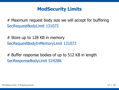#### **ModSecurity Limits**

# Maximum request body size we will accept for buffering SecRequestBodyLimit 131072

# Store up to 128 KB in memory SecRequestBodyInMemoryLimit 131072

# Buffer response bodies of up to 512 KB in length SecResponseBodyLimit 524288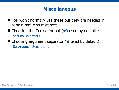#### **Miscellaneous**

- You won't normally use these but they are needed in certain rare circumstances.
- Choosing the Cookie format (v<sup>0</sup> used by default): SecCookieFormat 0
- Choosing argument separator (**&** used by default): SecArgumentSeparator ;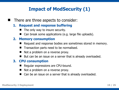## **Impact of ModSecurity (1)**

There are three aspects to consider:

#### **1. Request and response buffering**

- The only way to insure security.
- Can break some applications (e.g. large file uploads).

#### **2. Memory consumption**

- Request and response bodies are sometimes stored in memory.
- Transaction parts need to be normalised.
- Not a problem on a reverse proxy.
- But can be an issue on a server that is already overloaded.

#### **3. CPU consumption**

- Regular expressions are CPU-bound.
- Not a problem on a reverse proxy.
- Can be an issue on a server that is already overloaded.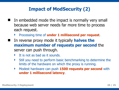## **Impact of ModSecurity (2)**

- In embedded mode the impact is normally very small because web server needs far more time to process each request.
	- Processing time of **under 1 millisecond per request**.
- In reverse proxy mode it typically **halves the maximum number of requests per second** the server can push through.
	- It is not as bad as it sounds.
	- Still you need to perform basic benchmarking to determine the limits of the hardware on which the proxy is running.
	- Modest hardware can push **1500 requests per second** with **under 1 millisecond latency**.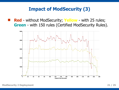#### **Impact of ModSecurity (3)**

 **Red** - without ModSecurity; **Yellow** - with 25 rules; **Green** - with 150 rules (Certified ModSecurity Rules).



**ModSecurity 2 Deployment 21 / 25**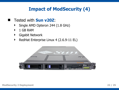#### **Impact of ModSecurity (4)**

- Tested with **Sun v20Z**:
	- Single AMD Opteron 244 (1.8 GHz)
	- 1 GB RAM
	- Gigabit Network
	- ▶ RedHat Enterprise Linux 4 (2.6.9-11 EL)

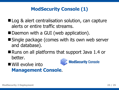## **ModSecurity Console (1)**

- Log & alert centralisation solution, can capture alerts or entire traffic streams.
- Daemon with a GUI (web application).
- Single package (comes with its own web server and database).
- Runs on all platforms that support Java 1.4 or better.
- Will evolve into **Management Console**.

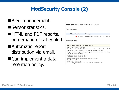## **ModSecurity Console (2)**

- Alert management.
- Sensor statistics.
- **HTML and PDF reports,** on demand or scheduled.
- Automatic report distribution via email.
- Can implement a data retention policy.

|                        | HTTP Transaction: 2906 (2006-06-04 20:34.39) |                                                                   |  |  |  |
|------------------------|----------------------------------------------|-------------------------------------------------------------------|--|--|--|
| Alert Messages         |                                              |                                                                   |  |  |  |
|                        |                                              |                                                                   |  |  |  |
| ID/Rev                 | Severity                                     | Message                                                           |  |  |  |
| 1                      |                                              | EMERG (0) Relevant response status Warning, Pattern m:            |  |  |  |
| Request Details        |                                              |                                                                   |  |  |  |
|                        |                                              |                                                                   |  |  |  |
|                        |                                              |                                                                   |  |  |  |
|                        | GET /tsn/downloads/favicon.ico HTTP/1.1      |                                                                   |  |  |  |
|                        | Host: www.thinkingstone.com                  |                                                                   |  |  |  |
|                        |                                              | User-Agent: Mozilla/5.0 (X11; U; Linux i686; en-US; rv:1.8.0.1) G |  |  |  |
|                        |                                              | $e$ bian-1.8.0.1-11) Galeon/2.0.1 (Debian package 2.0.1-3)        |  |  |  |
|                        |                                              | Accept: text/xml,application/xml,application/xhtml+xml,text/html; |  |  |  |
|                        | $;q=0.8, image/pnq,*/7;q=0.5$                |                                                                   |  |  |  |
|                        | $Accept-Language: de, de-de; q=0.5$          |                                                                   |  |  |  |
|                        | Accept-Encoding: gzip, deflate               |                                                                   |  |  |  |
|                        |                                              | $Accept-Character:$ ISO-8859-15, utf-8; q=0.7,*; q=0.7            |  |  |  |
| Keep-Alive: 300        |                                              |                                                                   |  |  |  |
| Connection: keep-alive |                                              | Cookie: TSN SESSIONID=3acd14cc53b45f5c6bc2384c243ac050            |  |  |  |
|                        |                                              |                                                                   |  |  |  |